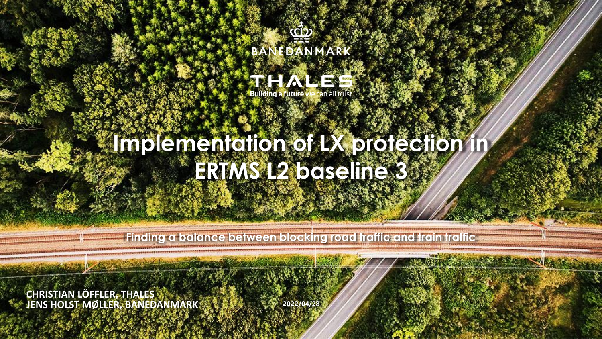



# **Implementation of LX protection ERTMS L2 baseline 3**

**Finding a balance between blocking road traffic and train traffic**

**JENS HOLST MØLLER, BANEDANMARK 2022/04/28 CHRISTIAN LÖFFLER, THALES**

1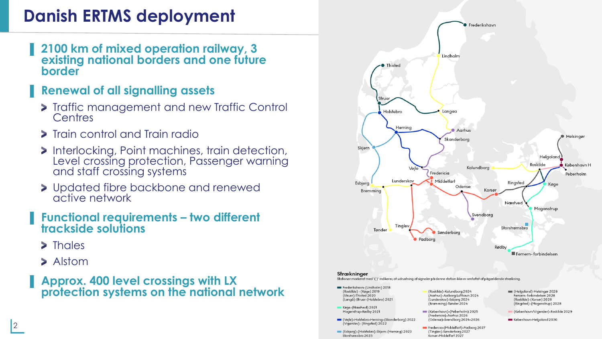### **Danish ERTMS deployment**

▌ **2100 km of mixed operation railway, 3 existing national borders and one future border**

#### ▌ **Renewal of all signalling assets**

- **>** Traffic management and new Traffic Control **Centres**
- **>** Train control and Train radio
- Interlocking, Point machines, train detection, Level crossing protection, Passenger warning and staff crossing systems
- > Updated fibre backbone and renewed active network
- ▌ **Functional requirements – two different trackside solutions**
	- > Thales
	- > Alstom
- ▌ **Approx. 400 level crossings with LX protection systems on the national network**

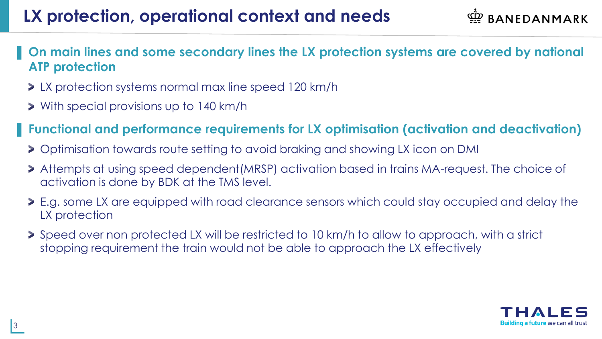### **LX protection, operational context and needs**

**BANEDANMARK** 

- ▌ **On main lines and some secondary lines the LX protection systems are covered by national ATP protection**
	- **>** LX protection systems normal max line speed 120 km/h
	- With special provisions up to 140 km/h

#### ▌ **Functional and performance requirements for LX optimisation (activation and deactivation)**

- Optimisation towards route setting to avoid braking and showing LX icon on DMI
- Attempts at using speed dependent(MRSP) activation based in trains MA-request. The choice of activation is done by BDK at the TMS level.
- E.g. some LX are equipped with road clearance sensors which could stay occupied and delay the LX protection
- Speed over non protected LX will be restricted to 10 km/h to allow to approach, with a strict stopping requirement the train would not be able to approach the LX effectively

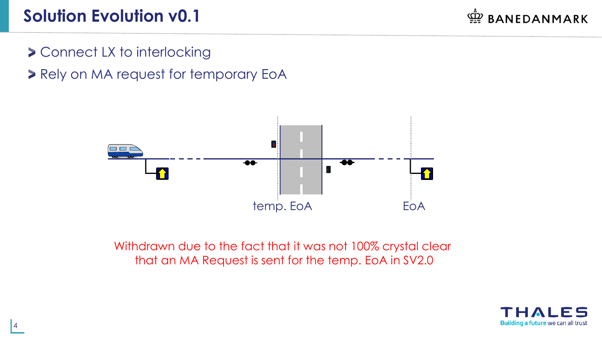### **Solution Evolution v0.1**

BANEDANMARK

- **> Connect LX to interlocking**
- **> Rely on MA request for temporary EoA**



Withdrawn due to the fact that it was not 100% crystal clear that an MA Request is sent for the temp. EoA in SV2.0

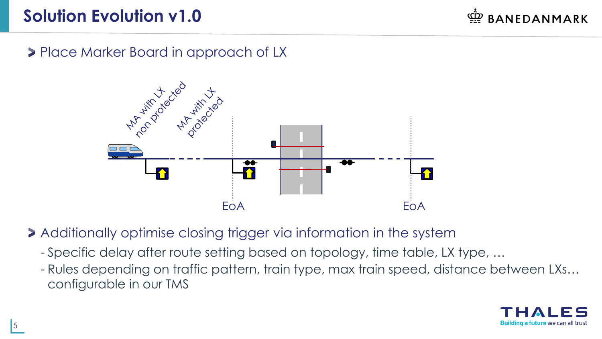### **Solution Evolution v1.0**

**BANEDANMARK** 

**Place Marker Board in approach of LX** 



Additionally optimise closing trigger via information in the system

- Specific delay after route setting based on topology, time table, LX type, …
- Rules depending on traffic pattern, train type, max train speed, distance between LXs… configurable in our TMS

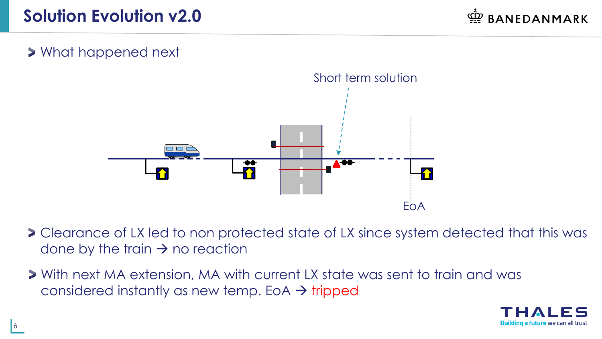#### What happened next



- Clearance of LX led to non protected state of LX since system detected that this was done by the train  $\rightarrow$  no reaction
- With next MA extension, MA with current LX state was sent to train and was considered instantly as new temp. EoA  $\rightarrow$  tripped

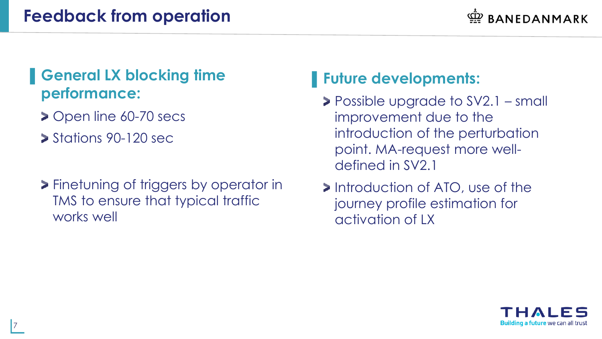#### **Feedback from operation**

#### ▌**General LX blocking time performance:**

- ▶ Open line 60-70 secs
- $\blacktriangleright$  Stations 90-120 sec.
- **>** Finetuning of triggers by operator in TMS to ensure that typical traffic works well

#### ▌**Future developments:**

- Possible upgrade to SV2.1 small improvement due to the introduction of the perturbation point. MA-request more welldefined in SV2.1
- **Introduction of ATO, use of the** journey profile estimation for activation of LX